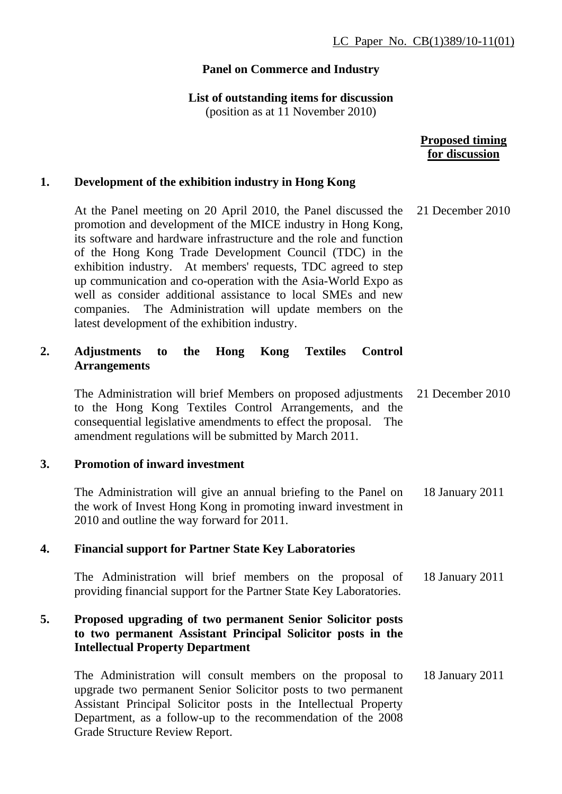# **Panel on Commerce and Industry**

## **List of outstanding items for discussion**

(position as at 11 November 2010)

|    |                                                                                                                                                                                                                                                                                                                                                                                                                                                                                                                                                                                 | <b>Proposed timing</b><br>for discussion |
|----|---------------------------------------------------------------------------------------------------------------------------------------------------------------------------------------------------------------------------------------------------------------------------------------------------------------------------------------------------------------------------------------------------------------------------------------------------------------------------------------------------------------------------------------------------------------------------------|------------------------------------------|
| 1. | Development of the exhibition industry in Hong Kong                                                                                                                                                                                                                                                                                                                                                                                                                                                                                                                             |                                          |
|    | At the Panel meeting on 20 April 2010, the Panel discussed the<br>promotion and development of the MICE industry in Hong Kong,<br>its software and hardware infrastructure and the role and function<br>of the Hong Kong Trade Development Council (TDC) in the<br>exhibition industry. At members' requests, TDC agreed to step<br>up communication and co-operation with the Asia-World Expo as<br>well as consider additional assistance to local SMEs and new<br>companies. The Administration will update members on the<br>latest development of the exhibition industry. | 21 December 2010                         |
| 2. | <b>Textiles</b><br><b>Adjustments</b><br>the<br>Hong<br>Kong<br><b>Control</b><br>to<br><b>Arrangements</b>                                                                                                                                                                                                                                                                                                                                                                                                                                                                     |                                          |
|    | The Administration will brief Members on proposed adjustments<br>to the Hong Kong Textiles Control Arrangements, and the<br>consequential legislative amendments to effect the proposal.<br>The<br>amendment regulations will be submitted by March 2011.                                                                                                                                                                                                                                                                                                                       | 21 December 2010                         |
| 3. | <b>Promotion of inward investment</b>                                                                                                                                                                                                                                                                                                                                                                                                                                                                                                                                           |                                          |
|    | The Administration will give an annual briefing to the Panel on<br>the work of Invest Hong Kong in promoting inward investment in<br>2010 and outline the way forward for 2011.                                                                                                                                                                                                                                                                                                                                                                                                 | 18 January 2011                          |
| 4. | <b>Financial support for Partner State Key Laboratories</b>                                                                                                                                                                                                                                                                                                                                                                                                                                                                                                                     |                                          |
|    | The Administration will brief members on the proposal of<br>providing financial support for the Partner State Key Laboratories.                                                                                                                                                                                                                                                                                                                                                                                                                                                 | 18 January 2011                          |
| 5. | Proposed upgrading of two permanent Senior Solicitor posts<br>to two permanent Assistant Principal Solicitor posts in the<br><b>Intellectual Property Department</b>                                                                                                                                                                                                                                                                                                                                                                                                            |                                          |
|    | The Administration will consult members on the proposal to<br>upgrade two permanent Senior Solicitor posts to two permanent<br>Assistant Principal Solicitor posts in the Intellectual Property<br>Department, as a follow-up to the recommendation of the 2008<br>Grade Structure Review Report.                                                                                                                                                                                                                                                                               | 18 January 2011                          |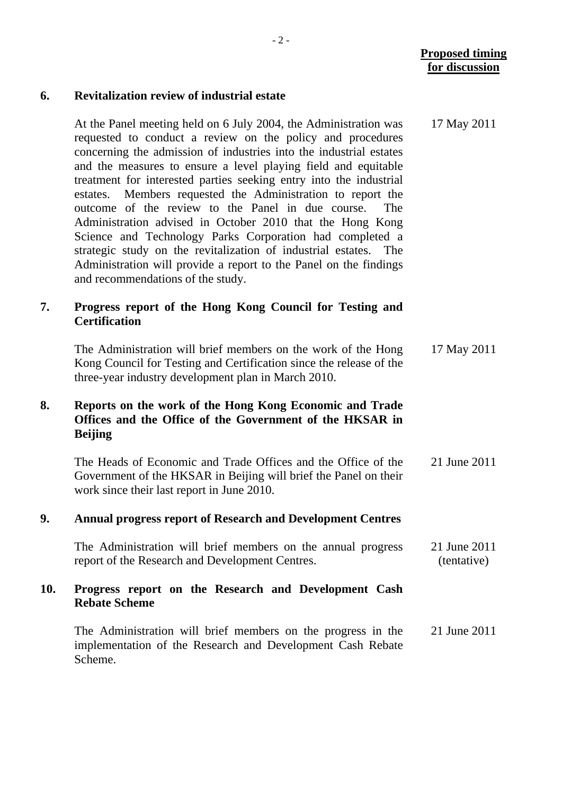17 May 2011

#### **6. Revitalization review of industrial estate**

At the Panel meeting held on 6 July 2004, the Administration was requested to conduct a review on the policy and procedures concerning the admission of industries into the industrial estates and the measures to ensure a level playing field and equitable treatment for interested parties seeking entry into the industrial estates. Members requested the Administration to report the outcome of the review to the Panel in due course. The Administration advised in October 2010 that the Hong Kong Science and Technology Parks Corporation had completed a strategic study on the revitalization of industrial estates. The Administration will provide a report to the Panel on the findings and recommendations of the study.

## **7. Progress report of the Hong Kong Council for Testing and Certification**

The Administration will brief members on the work of the Hong Kong Council for Testing and Certification since the release of the three-year industry development plan in March 2010. 17 May 2011

## **8. Reports on the work of the Hong Kong Economic and Trade Offices and the Office of the Government of the HKSAR in Beijing**

The Heads of Economic and Trade Offices and the Office of the Government of the HKSAR in Beijing will brief the Panel on their work since their last report in June 2010. 21 June 2011

#### **9. Annual progress report of Research and Development Centres**

The Administration will brief members on the annual progress report of the Research and Development Centres. 21 June 2011 (tentative)

### **10. Progress report on the Research and Development Cash Rebate Scheme**

The Administration will brief members on the progress in the implementation of the Research and Development Cash Rebate Scheme. 21 June 2011